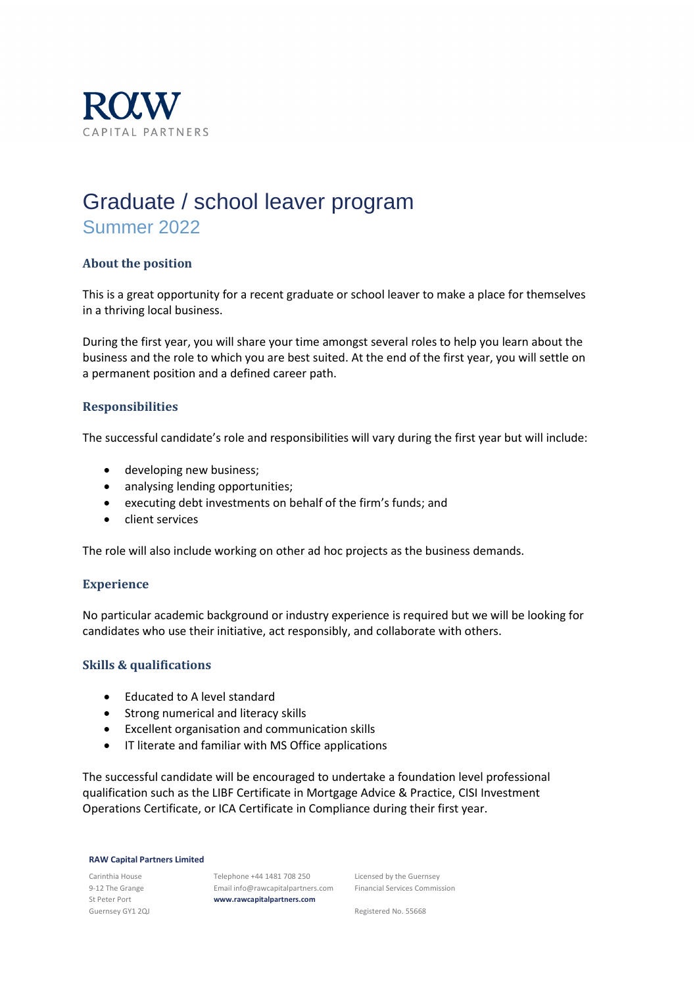

# Graduate / school leaver program Summer 2022

# **About the position**

This is a great opportunity for a recent graduate or school leaver to make a place for themselves in a thriving local business.

During the first year, you will share your time amongst several roles to help you learn about the business and the role to which you are best suited. At the end of the first year, you will settle on a permanent position and a defined career path.

# **Responsibilities**

The successful candidate's role and responsibilities will vary during the first year but will include:

- developing new business;
- analysing lending opportunities;
- executing debt investments on behalf of the firm's funds; and
- client services

The role will also include working on other ad hoc projects as the business demands.

# **Experience**

No particular academic background or industry experience is required but we will be looking for candidates who use their initiative, act responsibly, and collaborate with others.

#### **Skills & qualifications**

- Educated to A level standard
- Strong numerical and literacy skills
- Excellent organisation and communication skills
- IT literate and familiar with MS Office applications

The successful candidate will be encouraged to undertake a foundation level professional qualification such as the LIBF Certificate in Mortgage Advice & Practice, CISI Investment Operations Certificate, or ICA Certificate in Compliance during their first year.

#### **RAW Capital Partners Limited**

Carinthia House 9-12 The Grange St Peter Port Guernsey GY1 2QJ

Telephone +44 1481 708 250 Email info@rawcapitalpartners.com **www.rawcapitalpartners.com**

Licensed by the Guernsey Financial Services Commission

Registered No. 55668